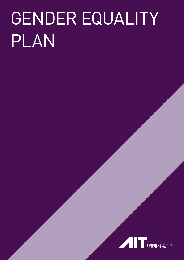# GENDER EQUALITY PLAN

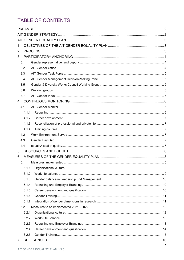# TABLE OF CONTENTS

| $\mathbf 1$    |       |  |
|----------------|-------|--|
| 2              |       |  |
| 3              |       |  |
|                | 3.1   |  |
|                | 3.2   |  |
|                | 3.3   |  |
|                | 3.4   |  |
|                | 3.5   |  |
|                | 3.6   |  |
|                | 3.7   |  |
| $\overline{4}$ |       |  |
|                | 4.1   |  |
|                | 4.1.1 |  |
|                | 4.1.2 |  |
|                | 4.1.3 |  |
|                | 4.1.4 |  |
|                | 4.2   |  |
|                | 4.3   |  |
|                | 4.4   |  |
| 5              |       |  |
| 6              |       |  |
|                | 6.1   |  |
|                | 6.1.1 |  |
|                | 6.1.2 |  |
|                | 6.1.3 |  |
|                | 6.1.4 |  |
|                | 6.1.5 |  |
|                | 6.1.6 |  |
|                | 6.1.7 |  |
|                | 6.2   |  |
|                | 6.2.1 |  |
|                | 6.2.2 |  |
|                | 6.2.3 |  |
|                | 6.2.4 |  |
|                | 6.2.5 |  |
| $\overline{7}$ |       |  |
|                |       |  |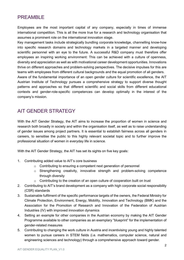# <span id="page-2-0"></span>PREAMBLE

Employees are the most important capital of any company, especially in times of immense international competition. This is all the more true for a research and technology organisation that assumes a prominent role on the international innovation stage.

Key management tasks include strategically bundling corporate knowledge, channelling know-how into specific research domains and technology markets in a targeted manner and developing scientific personnel with an eye to the future. A successful R&D company must therefore offer employees an inspiring working environment: This can be achieved with a culture of openness, diversity and appreciation as well as with motivational career development opportunities. Innovations thrive on different approaches and problem-solving perspectives. The decisive impulses for this are teams with employees from different cultural backgrounds and the equal promotion of all genders.

Aware of the fundamental importance of an open gender culture for scientific excellence, the AIT Austrian Institute of Technology pursues a comprehensive strategy to support diverse thought patterns and approaches so that different scientific and social skills from different educational contexts and gender-role-specific competences can develop optimally in the interest of the company's mission.

# <span id="page-2-1"></span>AIT GENDER STRATEGY

With the AIT Gender Strategy, the AIT aims to increase the proportion of women in science and research both broadly in society and within the organisation itself, as well as to raise understanding of gender issues among project partners. It is essential to establish fairness across all genders in careers, to sensitise the public to this highly relevant societal topic and to further improve the professional situation of women in everyday life in science.

With the AIT Gender Strategy, the AIT has set its sights on five key goals:

- 1. Contributing added value to AIT's core business
	- o Contributing to ensuring a competent next generation of personnel
	- o Strengthening creativity, innovative strength and problem-solving competence through diversity
	- $\circ$  Contributing to the creation of an open culture of cooperation built on trust
- 2. Contributing to AIT's brand development as a company with high corporate social responsibility (CSR) standards
- 3. Sustainable fulfilment of the specific performance targets of the owners, the Federal Ministry for Climate Protection, Environment, Energy, Mobility, Innovation and Technology (BMK) and the Association for the Promotion of Research and Innovation of the Federation of Austrian Industries (IV) with improved innovation dynamics
- 4. Setting an example for other companies in the Austrian economy by making the AIT Gender Programme available to other companies as an exemplary "blueprint" for the implementation of gender-related measures
- 5. Contributing to changing the work culture in Austria and incentivising young and highly talented women to pursue careers in STEM fields (i.e. mathematics, computer science, natural and engineering sciences and technology) through a comprehensive approach toward gender.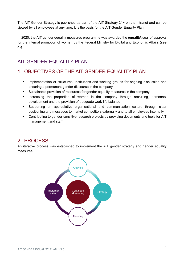The AIT Gender Strategy is published as part of the AIT Strategy 21+ on the intranet and can be viewed by all employees at any time. It is the basis for the AIT Gender Equality Plan.

In 2020, the AIT gender equality measures programme was awarded the **equalitA** seal of approval for the internal promotion of women by the Federal Ministry for Digital and Economic Affairs (see 4.4).

# <span id="page-3-0"></span>AIT GENDER EQUALITY PLAN

# <span id="page-3-1"></span>1 OBJECTIVES OF THE AIT GENDER EQUALITY PLAN

- **·** Implementation of structures, institutions and working groups for ongoing discussion and ensuring a permanent gender discourse in the company
- Sustainable provision of resources for gender equality measures in the company
- **■** Increasing the proportion of women in the company through recruiting, personnel development and the provision of adequate work-life balance
- Supporting an appreciative organisational and communication culture through clear positioning and messages to market competitors externally and to all employees internally
- **Contributing to gender-sensitive research projects by providing documents and tools for AIT** management and staff.

# <span id="page-3-2"></span>2 PROCESS

An iterative process was established to implement the AIT gender strategy and gender equality measures.

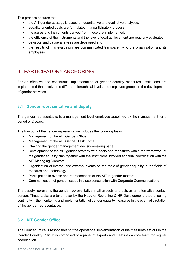This process ensures that:

- the AIT gender strategy is based on quantitative and qualitative analyses,
- equality-oriented goals are formulated in a participatory process,
- measures and instruments derived from these are implemented,
- the efficiency of the instruments and the level of goal achievement are regularly evaluated,
- deviation and cause analyses are developed and
- the results of this evaluation are communicated transparently to the organisation and its employees.

# <span id="page-4-0"></span>3 PARTICIPATORY ANCHORING

For an effective and continuous implementation of gender equality measures, institutions are implemented that involve the different hierarchical levels and employee groups in the development of gender activities.

# <span id="page-4-1"></span>**3.1 Gender representative and deputy**

The gender representative is a management-level employee appointed by the management for a period of 2 years.

The function of the gender representative includes the following tasks:

- Management of the AIT Gender Office
- Management of the AIT Gender Task Force
- Chairing the gender management decision-making panel
- **•** Development of the AIT gender strategy with goals and measures within the framework of the gender equality plan together with the institutions involved and final coordination with the AIT Managing Directors
- Organisation of internal and external events on the topic of gender equality in the fields of research and technology
- Participation in events and representation of the AIT in gender matters
- Communication of gender issues in close consultation with Corporate Communications

The deputy represents the gender representative in all aspects and acts as an alternative contact person. These tasks are taken over by the Head of Recruiting & HR Development, thus ensuring continuity in the monitoring and implementation of gender equality measures in the event of a rotation of the gender representative.

# <span id="page-4-2"></span>**3.2 AIT Gender Office**

The Gender Office is responsible for the operational implementation of the measures set out in the Gender Equality Plan. It is composed of a panel of experts and meets as a core team for regular coordination.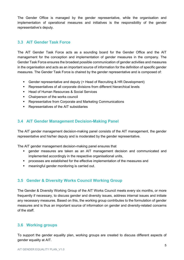The Gender Office is managed by the gender representative, while the organisation and implementation of operational measures and initiatives is the responsibility of the gender representative's deputy.

# <span id="page-5-0"></span>**3.3 AIT Gender Task Force**

The AIT Gender Task Force acts as a sounding board for the Gender Office and the AIT management for the conception and implementation of gender measures in the company. The Gender Task Force ensures the broadest possible communication of gender activities and measures in the organisation and acts as an important source of information for the definition of specific gender measures. The Gender Task Force is chaired by the gender representative and is composed of:

- Gender representative and deputy (= Head of Recruiting & HR Development)
- Representatives of all corporate divisions from different hierarchical levels
- Head of Human Resources & Social Services
- Chairperson of the works council
- Representative from Corporate and Marketing Communications
- Representatives of the AIT subsidiaries

# <span id="page-5-1"></span>**3.4 AIT Gender Management Decision-Making Panel**

The AIT gender management decision-making panel consists of the AIT management, the gender representative and his/her deputy and is moderated by the gender representative.

The AIT gender management decision-making panel ensures that

- **•** gender measures are taken as an AIT management decision and communicated and implemented accordingly in the respective organisational units,
- processes are established for the effective implementation of the measures and
- meaningful gender monitoring is carried out.

# <span id="page-5-2"></span>**3.5 Gender & Diversity Works Council Working Group**

The Gender & Diversity Working Group of the AIT Works Council meets every six months, or more frequently if necessary, to discuss gender and diversity issues, address internal issues and initiate any necessary measures. Based on this, the working group contributes to the formulation of gender measures and is thus an important source of information on gender and diversity-related concerns of the staff.

# <span id="page-5-3"></span>**3.6 Working groups**

To support the gender equality plan, working groups are created to discuss different aspects of gender equality at AIT.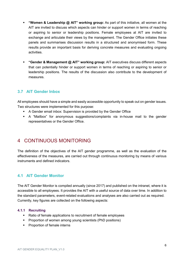- **"Women & Leadership @ AIT" working group:** As part of this initiative, all women at the AIT are invited to discuss which aspects can hinder or support women in terms of reaching or aspiring to senior or leadership positions. Female employees at AIT are invited to exchange and articulate their views by the management. The Gender Office initiates these panels and summarises discussion results in a structured and anonymised form. These results provide an important basis for deriving concrete measures and evaluating ongoing activities.
- **"Gender & Management @ AIT" working group:** AIT executives discuss different aspects that can potentially hinder or support women in terms of reaching or aspiring to senior or leadership positions. The results of the discussion also contribute to the development of measures.

# <span id="page-6-0"></span>**3.7 AIT Gender Inbox**

All employees should have a simple and easily accessible opportunity to speak out on gender issues. Two structures were implemented for this purpose:

- A Gender email inbox: Supervision is provided by the Gender Office
- A "Mailbox" for anonymous suggestions/complaints via in-house mail to the gender representatives or the Gender Office.

# <span id="page-6-1"></span>4 CONTINUOUS MONITORING

The definition of the objectives of the AIT gender programme, as well as the evaluation of the effectiveness of the measures, are carried out through continuous monitoring by means of various instruments and defined indicators.

# <span id="page-6-2"></span>**4.1 AIT Gender Monitor**

The AIT Gender Monitor is compiled annually (since 2017) and published on the intranet, where it is accessible to all employees. It provides the AIT with a useful source of data over time. In addition to the standard parameters, event-related evaluations and analyses are also carried out as required. Currently, key figures are collected on the following aspects:

#### <span id="page-6-3"></span>**4.1.1 Recruiting**

- Ratio of female applications to recruitment of female employees
- Proportion of women among young scientists (PhD positions)
- Proportion of female interns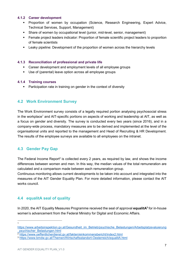#### <span id="page-7-0"></span>**4.1.2 Career development**

- Proportion of women by occupation (Science, Research Engineering, Expert Advice, Technical Services, Support, Management)
- **•** Share of women by occupational level (junior, mid-level, senior, management)
- Female project leaders indicator: Proportion of female scientific project leaders to proportion of female scientists
- Leaky pipeline: Development of the proportion of women across the hierarchy levels

#### <span id="page-7-1"></span>**4.1.3 Reconciliation of professional and private life**

- Career development and employment levels of all employee groups
- Use of (parental) leave option across all employee groups

#### <span id="page-7-2"></span>**4.1.4 Training courses**

■ Participation rate in training on gender in the context of diversity

## <span id="page-7-3"></span>**4.2 Work Environment Survey**

<span id="page-7-9"></span>The Work Environment survey consists of a legally required portion analysing psychosocial stress in the workplace<sup>[1](#page-7-6)</sup> and AIT-specific portions on aspects of working and leadership at AIT, as well as a focus on gender and diversity. The survey is conducted every two years (since 2016), and in a company-wide process, mandatory measures are to be derived and implemented at the level of the organisational units and reported to the management and Head of Recruiting & HR Development. The results of the employee surveys are available to all employees on the intranet.

# <span id="page-7-4"></span>**4.3 Gender Pay Gap**

<span id="page-7-10"></span>The Federal Income Report<sup>[2](#page-7-7)</sup> is collected every 2 years, as required by law, and shows the income differences between women and men. In this way, the median values of the total remuneration are calculated and a comparison made between each remuneration group.

Continuous monitoring allows current developments to be taken into account and integrated into the measures of the AIT Gender Equality Plan. For more detailed information, please contact the AIT works council.

# <span id="page-7-5"></span>**4.4 equalitA seal of quality**

<span id="page-7-11"></span> $\overline{a}$ 

In 2020, the AIT Equality Measures Programme received the seal of approval **equalitA[3](#page-7-8)** for in-house women's advancement from the Federal Ministry for Digital and Economic Affairs.

<span id="page-7-6"></span>[1](#page-7-9)

[https://www.arbeitsinspektion.gv.at/Gesundheit\\_im\\_Betrieb/psychische\\_Belastungen/Arbeitsplatzevaluierung](https://www.arbeitsinspektion.gv.at/Gesundheit_im_Betrieb/psychische_Belastungen/Arbeitsplatzevaluierung_psychischer_Belastungen.html) [\\_psychischer\\_Belastungen.html](https://www.arbeitsinspektion.gv.at/Gesundheit_im_Betrieb/psychische_Belastungen/Arbeitsplatzevaluierung_psychischer_Belastungen.html)

<span id="page-7-7"></span>[<sup>2</sup>](#page-7-10) <https://www.oeffentlicherdienst.gv.at/fakten/einkommensbericht/index2.html>

<span id="page-7-8"></span>[<sup>3</sup>](#page-7-11) <https://www.bmdw.gv.at/Themen/Wirtschaftsstandort-Oesterreich/equalitA.html>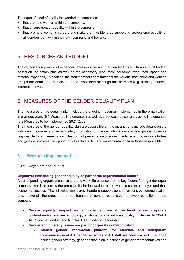The equalitA seal of quality is awarded to companies:

- that promote women within the company,
- **•** that ensure gender equality within the company,
- that promote women's careers and make them visible, thus supporting professional equality of all genders both within their own company and beyond.

# <span id="page-8-0"></span>5 RESOURCES AND BUDGET

The organisation provides the gender representative and the Gender Office with an annual budget based on the action plan as well as the necessary resources (personnel resources, space and material expenses). In addition, the staff members nominated for the various institutions and working groups are enabled to participate in the associated meetings and activities (e.g. training courses, information events).

# <span id="page-8-1"></span>6 MEASURES OF THE GENDER EQUALITY PLAN

The measures of the equality plan include the ongoing measures implemented in the organisation in previous years [\(6.1 M](#page-8-2)easures implemented) as well as the measures currently being implemented [\(6.2](#page-12-0) Measures to be implemented 2021-2023).

The measures of the gender equality plan are accessible on the intranet and include details on the individual measures and, in particular, information on the institutions, units and/or groups of people responsible for implementation. This form of presentation provides clarity regarding responsibilities and gives employees the opportunity to actively demand implementation from those responsible.

# <span id="page-8-2"></span>**6.1 Measures implemented**

#### <span id="page-8-3"></span>**6.1.1 Organisational culture**

#### **Objective: Embedding gender equality as part of the organisational culture**

A corresponding organisational culture and work-life balance are the key factors for a gender-equal company, which in turn is the prerequisite for innovation, attractiveness as an employer and thus economic success. The following measures therefore support gender-responsive communication and, above all, the creation and maintenance of gender-responsive framework conditions in the company:

- **Gender equality, respect and empowerment are at the heart of our corporate understanding** and are accordingly enshrined in our in-house quality guidelines [RL30-AIT](https://www.ait.ac.at/karriere/workait/code-of-conduct)  [AIT Code of Conduct](https://www.ait.ac.at/karriere/workait/code-of-conduct) and RL31-AIT [AIT Code of Leadership.](https://www.ait.ac.at/fileadmin/cmc/downloads/New_Career/AIT_COL_de.pdf)
- **Gender and diversity issues are part of corporate communication**
	- o I**nternal gender information platform for effective and transparent communication of AIT gender activities** to AIT staff has been realised. The topics include gender strategy, gender action plan, functions of gender representatives and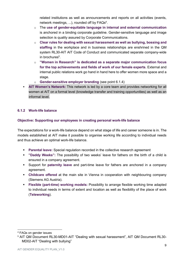<span id="page-9-4"></span>related institutions as well as announcements and reports on all activities (events, network meetings, ...), rounded off by  $\mathsf{FAQs}^4$  $\mathsf{FAQs}^4$ .

- o The **use of gender-equitable language in internal and external communication** is anchored in a binding corporate guideline. Gender-sensitive language and image selection is quality assured by Corporate Communications.
- o **Clear rules for dealing with sexual harassment as well as bullying, bossing and staffing** in the workplace and in business relationships are enshrined in the QM system [RL30-AIT AIT Code of Conduct](https://www.ait.ac.at/karriere/workait/code-of-conduct) and communicated separate company-wide in brochures<sup>[5](#page-9-3)</sup>.
- <span id="page-9-5"></span>o **"Women in Research" is dedicated as a separate major communication focus for the top achievements and fields of work of our female experts**. External and internal public relations work go hand in hand here to offer women more space and a stage.
- o **Gender-sensitive employer branding** (see point 6.1.4)
- **AIT Women's Network:** This network is led by a core team and provides networking for all women at AIT on a formal level (knowledge transfer and training opportunities) as well as an informal level.

## <span id="page-9-0"></span>**6.1.2 Work-life balance**

## **Objective: Supporting our employees in creating personal work-life balance**

The expectations for a work-life balance depend on what stage of life and career someone is in. The models established at AIT make it possible to organise working life according to individual needs and thus achieve an optimal work-life balance.

- **Parental leave:** Special regulation recorded in the collective research agreement
- **"Daddy Weeks":** The possibility of two weeks' leave for fathers on the birth of a child is ensured in a company agreement.
- Support for **paternity leave** and part-time leave for fathers are anchored in a company agreement.
- **Childcare offered** at the main site in Vienna in cooperation with neighbouring company (Siemens AG Austria).
- **Flexible (part-time) working models:** Possibility to arrange flexible working time adapted to individual needs in terms of extent and location as well as flexibility of the place of work (**Teleworking**).

<span id="page-9-2"></span><span id="page-9-1"></span>-[4](#page-9-4) FAQs on gender issues

<span id="page-9-3"></span>[<sup>5</sup>](#page-9-5) AIT QM Document RL30-MD01-AIT "Dealing with sexual harassment", AIT QM Document RL30- MD02-AIT "Dealing with bullying"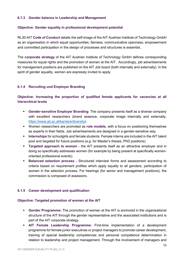#### **6.1.3 Gender balance in Leadership and Management**

#### **Objective: Gender equality in professional development potential**

[RL30-AIT](https://www.ait.ac.at/karriere/workait/code-of-conduct) **Code of Conduct** details the self-image of the AIT Austrian Institute of Technology GmbH as an organisation in which equal opportunities, fairness, communicative openness, empowerment and committed participation in the design of processes and structures is essential..

The **corporate strategy** of the AIT Austrian Institute of Technology GmbH defines corresponding measures for equal rights and the promotion of women at the AIT. Accordingly, job advertisements for management positions are published on the AIT Job board (both internally and externally). In the spirit of gender equality, women are expressly invited to apply.

#### <span id="page-10-0"></span>**6.1.4 Recruiting und Employer Branding**

## **Objective: Increasing the proportion of qualified female applicants for vacancies at all hierarchical levels**

- **Gender-sensitive Employer Branding**: The company presents itself as a diverse company with excellent researchers (brand essence, corporate image internally and externally, [https://www.ait.ac.at/karriere/diversity\)](https://www.ait.ac.at/karriere/diversity).
- Women researchers are promoted as **role models**, with a focus on positioning themselves as experts in their fields. Job advertisements are designed in a gender-sensitive way.
- **EXEDENT Internships** for schoolgirls and female students. Female interns are included in the AIT talent pool and targeted for future positions (e.g. for Master's theses, PhD positions).
- **Targeted approach to women** the AIT presents itself as an attractive employer and in doing so specifically addresses women (for example by being present at specifically womenoriented professional events).
- **Example 3 Balanced selection process** Structured interview forms and assessment according to criteria based on requirement profiles which apply equally to all genders; participation of women in the selection process. For hearings (for senior and management positions), the commission is composed of assessors.

#### <span id="page-10-1"></span>**6.1.5 Career development and qualification**

#### **Objective: Targeted promotion of women at the AIT**

- **Gender Programme:** The promotion of women at the AIT is anchored in the organisational structure of the AIT through the gender representative and the associated institutions and is part of the AIT corporate strategy.
- **AIT Female Leadership Programme:** First-time implementation of a development programme for female junior executives or project managers to promote career development, training of special leadership competences and personal competence determination in relation to leadership and project management. Through the involvement of managers and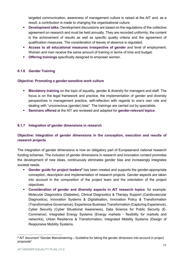targeted communication, awareness of management culture is raised at the AIT and, as a result, a contribution is made to changing the organisational culture

- **Development talks:** Development discussions are based on the regulations of the collective agreement on research and must be held annually. They are recorded uniformly; the content is the achievement of results as well as specific quality criteria and the agreement of qualification measures. The consideration of leaves of absence is regulated.
- **Access to all educational measures irrespective of gender** and level of employment: Women and men receive the same amount of training in terms of time and budget.
- **Offering trainings** specifically designed to empower women.

## <span id="page-11-0"></span>**6.1.6 Gender Training**

#### **Objective: Promoting a gender-sensitive work culture**

- **Mandatory training** on the topic of equality, gender & diversity for managers and staff. The focus is on the legal framework and practice, the implementation of gender and diversity perspectives in management practice, self-reflection with regards to one's own role and dealing with "unconscious (gender) bias". The trainings are carried out by specialists.
- **Seminars offered** at the AIT are reviewed and adapted for **gender-relevant topics** .

#### <span id="page-11-1"></span>**6.1.7 Integration of gender dimensions in research**

# **Objective: Integration of gender dimensions in the conception, execution and results of research projects**

The integration of gender dimensions is now an obligatory part of Europeanand national research funding schemes. The inclusion of gender dimensions in research and innovation content promotes the development of new ideas, continuously eliminates gender bias and increasingly integrates societal needs.

- <span id="page-11-3"></span>**Example Form Frumal Servery Condom Server Cerated and supports the gender-appropriate** conception, description and implementation of research projects. Gender aspects are taken into account in the composition of the project team and the orientation of the project objectives.
- **Consideration of gender and diversity aspects in AIT research topics**: for example: Molecular Diagnostics (Diabetes), Clinical Diagnostics & Therapy Support (Cardiovascular Diagnostics), Innovation Systems & Digitalisation, Innovation Policy & Transformation (Transformative Governance), Experience Business Transformation (Capturing Experience), Cyber Security (Cyber Situational Awareness), Data Science for Public Security (E-Commerce), Integrated Energy Systems (Energy markets - flexibility for markets and networks), Urban Resilience & Transformation, Integrated Mobility Systems (Design of Responsive Mobility Systems.

-

<span id="page-11-2"></span> $\rm ^6$  $\rm ^6$  AIT document "Gender Mainstreaming – Guideline for taking the gender dimension into account in project proposals"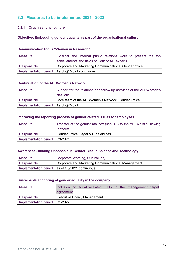# <span id="page-12-0"></span>**6.2 Measures to be implemented 2021 - 2022**

# <span id="page-12-1"></span>**6.2.1 Organisational culture**

#### **Objective: Embedding gender equality as part of the organisational culture**

#### **Communication focus "Women in Research"**

| Measure     | External and internal public relations work to present the top |
|-------------|----------------------------------------------------------------|
|             | achievements and fields of work of AIT experts                 |
| Responsible | Corporate and Marketing Communications, Gender office          |
|             | Implementation period   As of Q1/2021 continuous               |

#### **Continuation of the AIT Women's Network**

| Measure                               | Support for the relaunch and follow-up activities of the AIT Women's |
|---------------------------------------|----------------------------------------------------------------------|
|                                       | <b>Network</b>                                                       |
| Responsible                           | Core team of the AIT Women's Network, Gender Office                  |
| Implementation period   As of Q2/2021 |                                                                      |

#### **Improving the reporting process of gender-related issues for employees**

| Measure                         | Transfer of the gender mailbox (see 3.6) to the AIT Whistle-Blowing |
|---------------------------------|---------------------------------------------------------------------|
|                                 | <b>Platform</b>                                                     |
| Responsible                     | Gender Office, Legal & HR Services                                  |
| Implementation period   Q3/2021 |                                                                     |

#### **Awareness-Building Unconscious Gender Bias in Science and Technology**

| Measure     | Corporate Wording, Our Values                      |
|-------------|----------------------------------------------------|
| Responsible | Corporate and Marketing Communications, Management |
|             | Implementation period   as of Q3/2021 continuous   |

## **Sustainable anchoring of gender equality in the company**

| <b>Measure</b>                  | Inclusion of equality-related KPIs in the management target |
|---------------------------------|-------------------------------------------------------------|
|                                 | agreement                                                   |
| Responsible                     | <b>Executive Board, Management</b>                          |
| Implementation period   Q1/2022 |                                                             |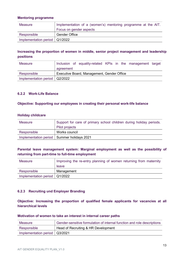#### **Mentoring programme**

| Measure                         | Implementation of a (women's) mentoring programme at the AIT. |
|---------------------------------|---------------------------------------------------------------|
|                                 | Focus on gender aspects                                       |
| Responsible                     | <b>Gender Office</b>                                          |
| Implementation period   Q1/2022 |                                                               |

# **Increasing the proportion of women in middle, senior project management and leadership positions**

| Measure                         | Inclusion of equality-related KPIs in the management target |
|---------------------------------|-------------------------------------------------------------|
|                                 | agreement                                                   |
| Responsible                     | Executive Board, Management, Gender Office                  |
| Implementation period   Q2/2022 |                                                             |

#### <span id="page-13-0"></span>**6.2.2 Work-Life Balance**

#### **Objective: Supporting our employees in creating their personal work-life balance**

#### **Holiday childcare**

| <b>Measure</b> | Support for care of primary school children during holiday periods. |
|----------------|---------------------------------------------------------------------|
|                | Pilot projects                                                      |
| Responsible    | Works council                                                       |
|                | Implementation period   Summer holidays 2021                        |

## **Parental leave management system: Marginal employment as well as the possibility of returning from part-time to full-time employment**

| <b>Measure</b>                  | Improving the re-entry planning of women returning from maternity |
|---------------------------------|-------------------------------------------------------------------|
|                                 | leave                                                             |
| Responsible                     | Management                                                        |
| Implementation period   Q1/2022 |                                                                   |

#### <span id="page-13-1"></span>**6.2.3 Recruiting und Employer Branding**

**Objective: Increasing the proportion of qualified female applicants for vacancies at all hierarchical levels**

#### **Motivation of women to take an interest in internal career paths**

| Measure                         | Gender-sensitive formulation of internal function and role descriptions |
|---------------------------------|-------------------------------------------------------------------------|
| Responsible                     | Head of Recruiting & HR Development                                     |
| Implementation period   Q3/2021 |                                                                         |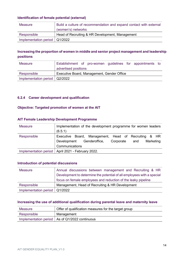#### **Identification of female potential (external)**

| Measure                         | Build a culture of recommendation and expand contact with external |
|---------------------------------|--------------------------------------------------------------------|
|                                 | (women's) networks                                                 |
| Responsible                     | Head of Recruiting & HR Development, Management                    |
| Implementation period   Q1/2022 |                                                                    |

# **Increasing the proportion of women in middle and senior project management and leadership positions**

| <b>Measure</b>                  | Establishment of pro-women guidelines for appointments to |  |  |  |
|---------------------------------|-----------------------------------------------------------|--|--|--|
|                                 | advertised positions                                      |  |  |  |
| Responsible                     | Executive Board, Management, Gender Office                |  |  |  |
| Implementation period   Q2/2022 |                                                           |  |  |  |

## <span id="page-14-0"></span>**6.2.4 Career development and qualification**

#### **Objective: Targeted promotion of women at the AIT**

#### **AIT Female Leadership Development Programme**

| <b>Measure</b> | Implementation of the development programme for women leaders<br>(6.5.1)                                                                |
|----------------|-----------------------------------------------------------------------------------------------------------------------------------------|
| Responsible    | Executive Board, Management, Head of Recruiting & HR<br>Genderoffice,<br>Marketing<br>Development<br>Corporate<br>and<br>Communications |
|                | Implementation period   April 2021 - February 2022.                                                                                     |

#### **Introduction of potential discussions**

| <b>Measure</b>                  | Annual discussions between management and Recruiting & HR              |
|---------------------------------|------------------------------------------------------------------------|
|                                 | Development to determine the potential of all employees with a special |
|                                 | focus on female employees and reduction of the leaky pipeline          |
| Responsible                     | Management, Head of Recruiting & HR Development                        |
| Implementation period   Q1/2022 |                                                                        |

#### **Increasing the use of additional qualification during parental leave and maternity leave**

| Measure     | Offer of qualification measures for the target group |  |
|-------------|------------------------------------------------------|--|
| Responsible | Management                                           |  |
|             | Implementation period   As of Q1/2022 continuous     |  |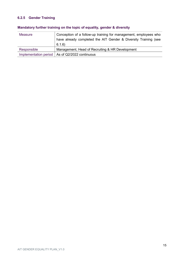# <span id="page-15-0"></span>**6.2.5 Gender Training**

| <b>Measure</b> | Conception of a follow-up training for management, employees who<br>have already completed the AIT Gender & Diversity Training (see<br>6.1.6 |
|----------------|----------------------------------------------------------------------------------------------------------------------------------------------|
| Responsible    | Management, Head of Recruiting & HR Development                                                                                              |
|                | Implementation period   As of Q2/2022 continuous                                                                                             |

# **Mandatory further training on the topic of equality, gender & diversity**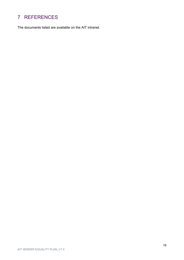# <span id="page-16-0"></span>7 REFERENCES

The documents listed are available on the AIT intranet.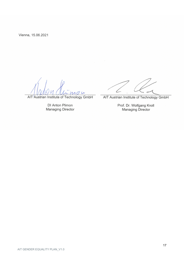Vienna, 15.06.2021

AIT Austrian Institute of Technology GmbH

DI Anton Plimon **Managing Director** 

 $\overline{C}$ 

AIT Austrian Institute of Technology GmbH

Prof. Dr. Wolfgang Knoll<br>Managing Director